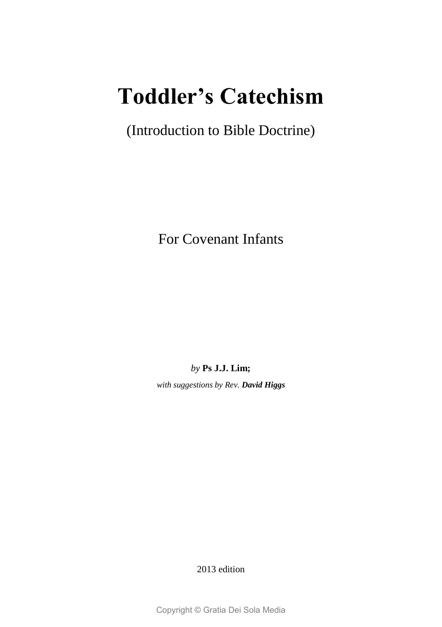### **Toddler's Catechism**

(Introduction to Bible Doctrine)

For Covenant Infants

*by* **Ps J.J. Lim;**

*with suggestions by Rev. David Higgs*

2013 edition

Copyright © Gratia Dei Sola Media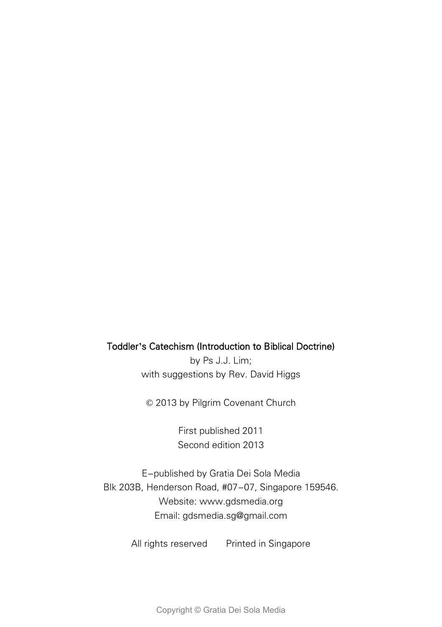#### Toddler**'**s Catechism (Introduction to Biblical Doctrine)

by Ps J.J. Lim; with suggestions by Rev. David Higgs

© 2013 by Pilgrim Covenant Church

First published 2011 Second edition 2013

E-published by Gratia Dei Sola Media Blk 203B, Henderson Road, #07-07, Singapore 159546. Website: www.gdsmedia.org Email: gdsmedia.sg@gmail.com

All rights reserved Printed in Singapore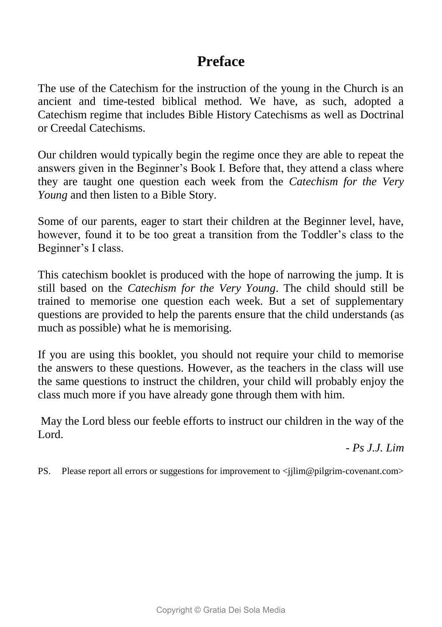### **Preface**

The use of the Catechism for the instruction of the young in the Church is an ancient and time-tested biblical method. We have, as such, adopted a Catechism regime that includes Bible History Catechisms as well as Doctrinal or Creedal Catechisms.

Our children would typically begin the regime once they are able to repeat the answers given in the Beginner's Book I. Before that, they attend a class where they are taught one question each week from the *Catechism for the Very Young* and then listen to a Bible Story.

Some of our parents, eager to start their children at the Beginner level, have, however, found it to be too great a transition from the Toddler's class to the Beginner's I class.

This catechism booklet is produced with the hope of narrowing the jump. It is still based on the *Catechism for the Very Young*. The child should still be trained to memorise one question each week. But a set of supplementary questions are provided to help the parents ensure that the child understands (as much as possible) what he is memorising.

If you are using this booklet, you should not require your child to memorise the answers to these questions. However, as the teachers in the class will use the same questions to instruct the children, your child will probably enjoy the class much more if you have already gone through them with him.

May the Lord bless our feeble efforts to instruct our children in the way of the Lord.

*- Ps J.J. Lim*

PS. Please report all errors or suggestions for improvement to  $\langle$ ilim@pilgrim-covenant.com>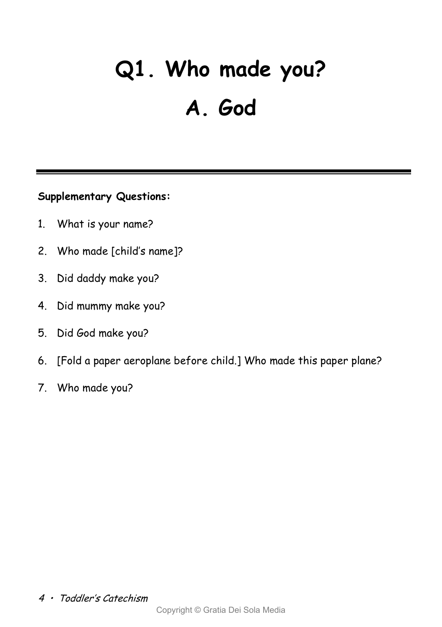# **Q1. Who made you? A. God**

- 1. What is your name?
- 2. Who made [child's name]?
- 3. Did daddy make you?
- 4. Did mummy make you?
- 5. Did God make you?
- 6. [Fold a paper aeroplane before child.] Who made this paper plane?
- 7. Who made you?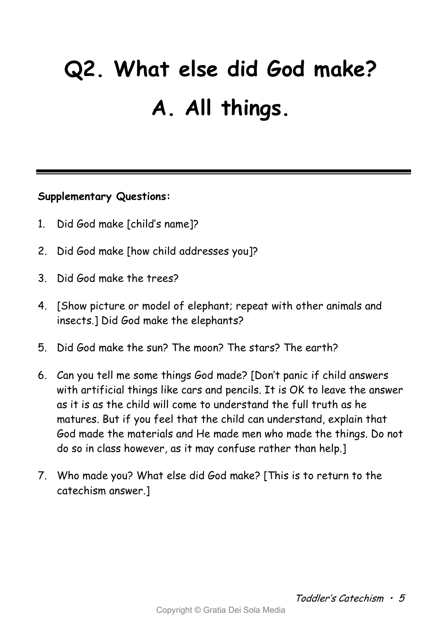# **Q2. What else did God make? A. All things.**

- 1. Did God make [child's name]?
- 2. Did God make [how child addresses you]?
- 3. Did God make the trees?
- 4. [Show picture or model of elephant; repeat with other animals and insects.] Did God make the elephants?
- 5. Did God make the sun? The moon? The stars? The earth?
- 6. Can you tell me some things God made? [Don't panic if child answers with artificial things like cars and pencils. It is OK to leave the answer as it is as the child will come to understand the full truth as he matures. But if you feel that the child can understand, explain that God made the materials and He made men who made the things. Do not do so in class however, as it may confuse rather than help.]
- 7. Who made you? What else did God make? [This is to return to the catechism answer.]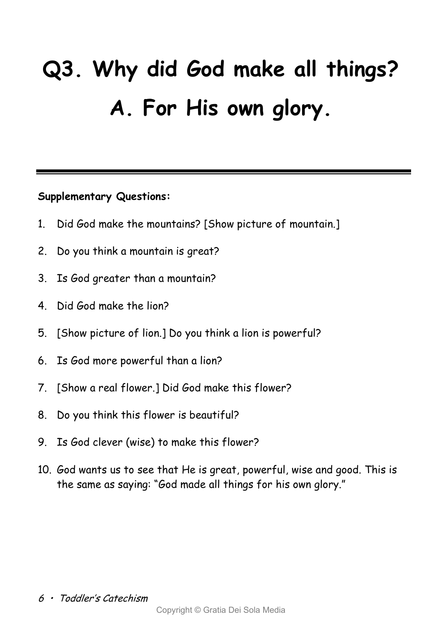# **Q3. Why did God make all things? A. For His own glory.**

- 1. Did God make the mountains? [Show picture of mountain.]
- 2. Do you think a mountain is great?
- 3. Is God greater than a mountain?
- 4. Did God make the lion?
- 5. [Show picture of lion.] Do you think a lion is powerful?
- 6. Is God more powerful than a lion?
- 7. [Show a real flower.] Did God make this flower?
- 8. Do you think this flower is beautiful?
- 9. Is God clever (wise) to make this flower?
- 10. God wants us to see that He is great, powerful, wise and good. This is the same as saying: "God made all things for his own glory."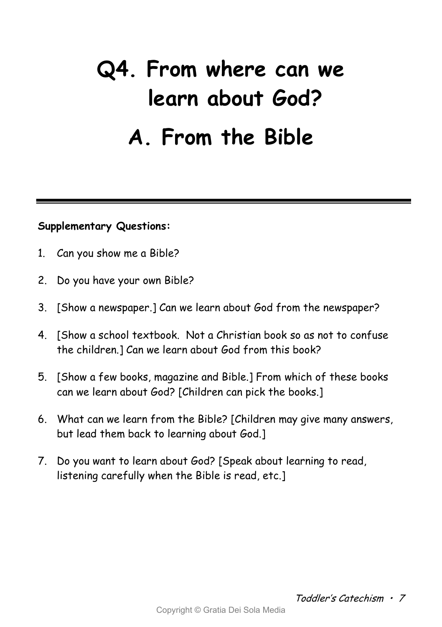## **Q4. From where can we learn about God? A. From the Bible**

- 1. Can you show me a Bible?
- 2. Do you have your own Bible?
- 3. [Show a newspaper.] Can we learn about God from the newspaper?
- 4. [Show a school textbook. Not a Christian book so as not to confuse the children.] Can we learn about God from this book?
- 5. [Show a few books, magazine and Bible.] From which of these books can we learn about God? [Children can pick the books.]
- 6. What can we learn from the Bible? [Children may give many answers, but lead them back to learning about God.]
- 7. Do you want to learn about God? [Speak about learning to read, listening carefully when the Bible is read, etc.]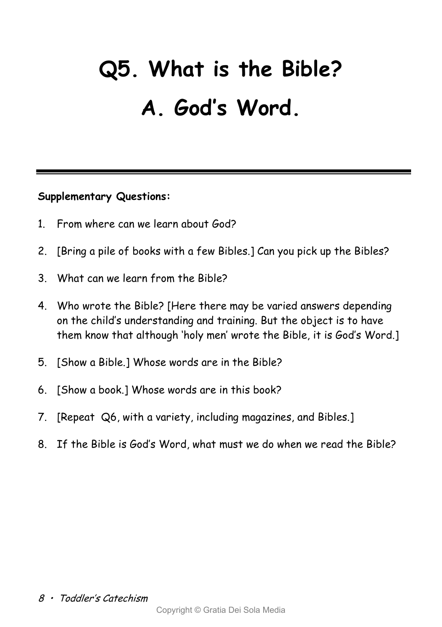## **Q5. What is the Bible? A. God's Word.**

- 1. From where can we learn about God?
- 2. [Bring a pile of books with a few Bibles.] Can you pick up the Bibles?
- 3. What can we learn from the Bible?
- 4. Who wrote the Bible? [Here there may be varied answers depending on the child's understanding and training. But the object is to have them know that although 'holy men' wrote the Bible, it is God's Word.]
- 5. [Show a Bible.] Whose words are in the Bible?
- 6. [Show a book.] Whose words are in this book?
- 7. [Repeat Q6, with a variety, including magazines, and Bibles.]
- 8. If the Bible is God's Word, what must we do when we read the Bible?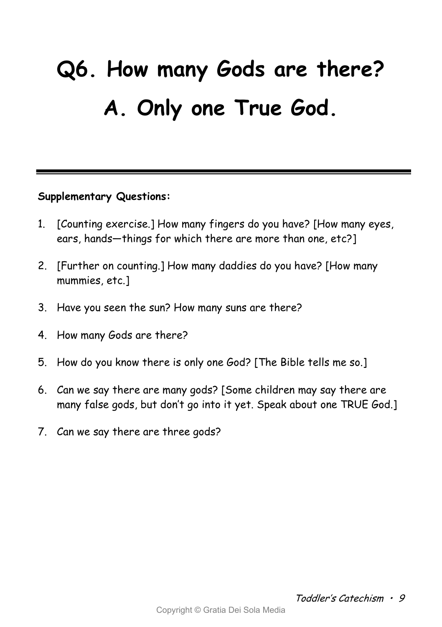# **Q6. How many Gods are there? A. Only one True God.**

- 1. [Counting exercise.] How many fingers do you have? [How many eyes, ears, hands—things for which there are more than one, etc?]
- 2. [Further on counting.] How many daddies do you have? [How many mummies, etc.]
- 3. Have you seen the sun? How many suns are there?
- 4. How many Gods are there?
- 5. How do you know there is only one God? [The Bible tells me so.]
- 6. Can we say there are many gods? [Some children may say there are many false gods, but don't go into it yet. Speak about one TRUE God.]
- 7. Can we say there are three gods?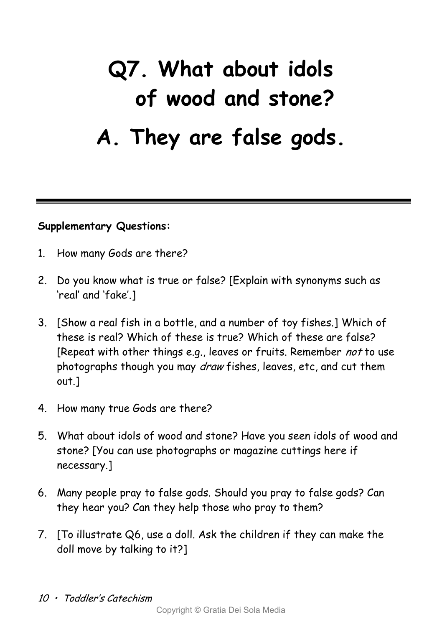## **Q7. What about idols of wood and stone? A. They are false gods.**

- 1. How many Gods are there?
- 2. Do you know what is true or false? [Explain with synonyms such as 'real' and 'fake'.]
- 3. [Show a real fish in a bottle, and a number of toy fishes.] Which of these is real? Which of these is true? Which of these are false? [Repeat with other things e.g., leaves or fruits. Remember not to use photographs though you may *draw* fishes, leaves, etc, and cut them out.]
- 4. How many true Gods are there?
- 5. What about idols of wood and stone? Have you seen idols of wood and stone? [You can use photographs or magazine cuttings here if necessary.]
- 6. Many people pray to false gods. Should you pray to false gods? Can they hear you? Can they help those who pray to them?
- 7. [To illustrate Q6, use a doll. Ask the children if they can make the doll move by talking to it?]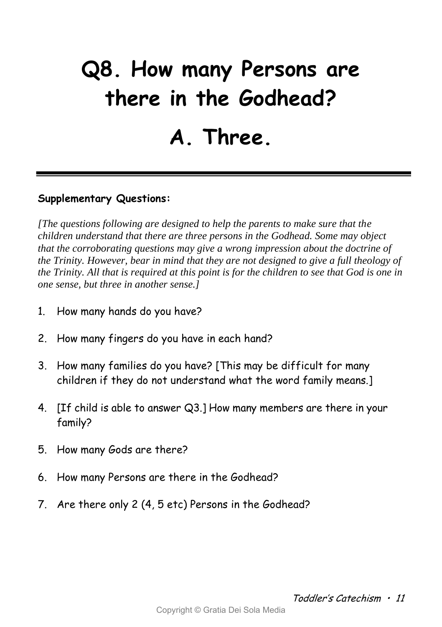## **Q8. How many Persons are there in the Godhead? A. Three.**

### **Supplementary Questions:**

*[The questions following are designed to help the parents to make sure that the children understand that there are three persons in the Godhead. Some may object that the corroborating questions may give a wrong impression about the doctrine of the Trinity. However, bear in mind that they are not designed to give a full theology of the Trinity. All that is required at this point is for the children to see that God is one in one sense, but three in another sense.]* 

- 1. How many hands do you have?
- 2. How many fingers do you have in each hand?
- 3. How many families do you have? [This may be difficult for many children if they do not understand what the word family means.]
- 4. [If child is able to answer Q3.] How many members are there in your family?
- 5. How many Gods are there?
- 6. How many Persons are there in the Godhead?
- 7. Are there only 2 (4, 5 etc) Persons in the Godhead?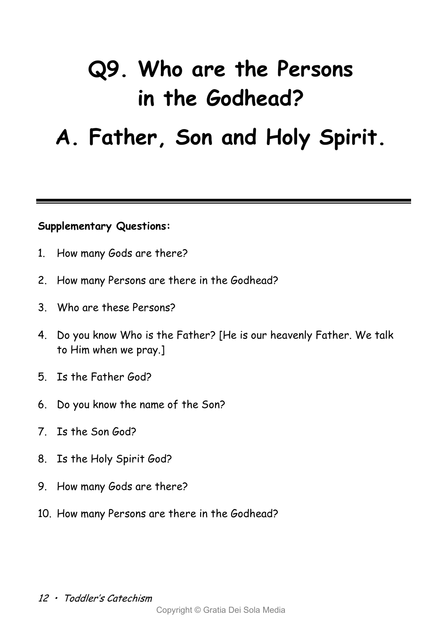## **Q9. Who are the Persons in the Godhead?**

### **A. Father, Son and Holy Spirit.**

- 1. How many Gods are there?
- 2. How many Persons are there in the Godhead?
- 3. Who are these Persons?
- 4. Do you know Who is the Father? [He is our heavenly Father. We talk to Him when we pray.]
- 5. Is the Father God?
- 6. Do you know the name of the Son?
- 7. Is the Son God?
- 8. Is the Holy Spirit God?
- 9. How many Gods are there?
- 10. How many Persons are there in the Godhead?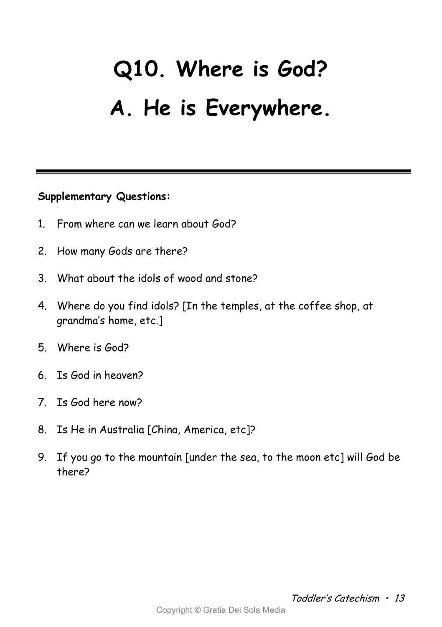# **Q10. Where is God? A. He is Everywhere.**

- 1. From where can we learn about God?
- 2. How many Gods are there?
- 3. What about the idols of wood and stone?
- 4. Where do you find idols? [In the temples, at the coffee shop, at grandma's home, etc.]
- 5. Where is God?
- 6. Is God in heaven?
- 7. Is God here now?
- 8. Is He in Australia [China, America, etc]?
- 9. If you go to the mountain [under the sea, to the moon etc] will God be there?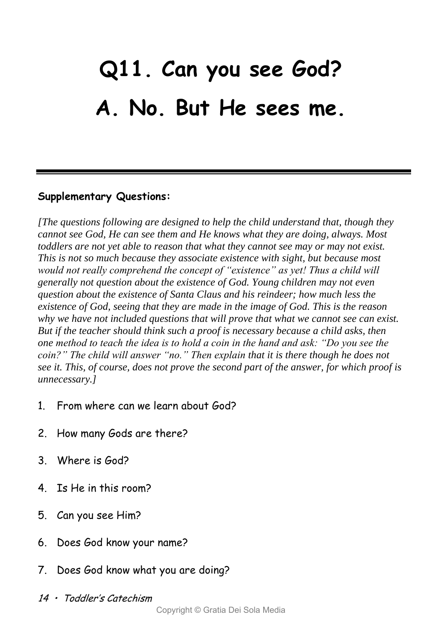## **Q11. Can you see God? A. No. But He sees me.**

### **Supplementary Questions:**

*[The questions following are designed to help the child understand that, though they cannot see God, He can see them and He knows what they are doing, always. Most toddlers are not yet able to reason that what they cannot see may or may not exist. This is not so much because they associate existence with sight, but because most would not really comprehend the concept of "existence" as yet! Thus a child will generally not question about the existence of God. Young children may not even question about the existence of Santa Claus and his reindeer; how much less the existence of God, seeing that they are made in the image of God. This is the reason why we have not included questions that will prove that what we cannot see can exist. But if the teacher should think such a proof is necessary because a child asks, then one method to teach the idea is to hold a coin in the hand and ask: "Do you see the coin?" The child will answer "no." Then explain that it is there though he does not see it. This, of course, does not prove the second part of the answer, for which proof is unnecessary.]* 

- 1. From where can we learn about God?
- 2. How many Gods are there?
- 3. Where is God?
- 4. Is He in this room?
- 5. Can you see Him?
- 6. Does God know your name?
- 7. Does God know what you are doing?
- 14 •Toddler's Catechism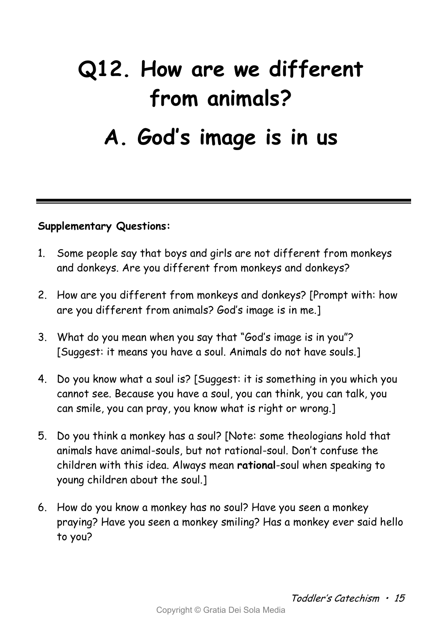## **Q12. How are we different from animals? A. God's image is in us**

- 1. Some people say that boys and girls are not different from monkeys and donkeys. Are you different from monkeys and donkeys?
- 2. How are you different from monkeys and donkeys? [Prompt with: how are you different from animals? God's image is in me.]
- 3. What do you mean when you say that "God's image is in you"? [Suggest: it means you have a soul. Animals do not have souls.]
- 4. Do you know what a soul is? [Suggest: it is something in you which you cannot see. Because you have a soul, you can think, you can talk, you can smile, you can pray, you know what is right or wrong.]
- 5. Do you think a monkey has a soul? [Note: some theologians hold that animals have animal-souls, but not rational-soul. Don't confuse the children with this idea. Always mean **rational**-soul when speaking to young children about the soul.]
- 6. How do you know a monkey has no soul? Have you seen a monkey praying? Have you seen a monkey smiling? Has a monkey ever said hello to you?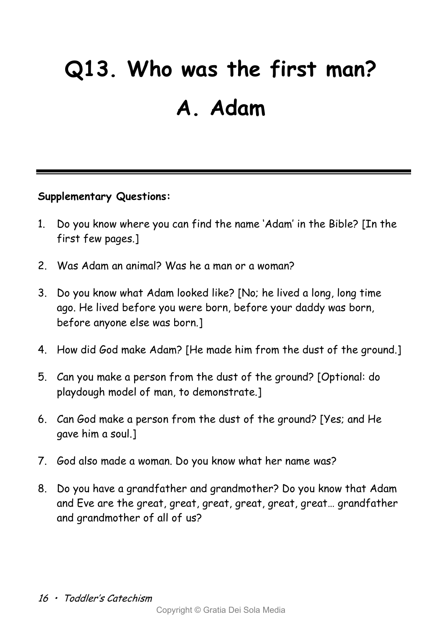## **Q13. Who was the first man? A. Adam**

- 1. Do you know where you can find the name 'Adam' in the Bible? [In the first few pages.]
- 2. Was Adam an animal? Was he a man or a woman?
- 3. Do you know what Adam looked like? [No; he lived a long, long time ago. He lived before you were born, before your daddy was born, before anyone else was born.]
- 4. How did God make Adam? [He made him from the dust of the ground.]
- 5. Can you make a person from the dust of the ground? [Optional: do playdough model of man, to demonstrate.]
- 6. Can God make a person from the dust of the ground? [Yes; and He gave him a soul.]
- 7. God also made a woman. Do you know what her name was?
- 8. Do you have a grandfather and grandmother? Do you know that Adam and Eve are the great, great, great, great, great, great… grandfather and grandmother of all of us?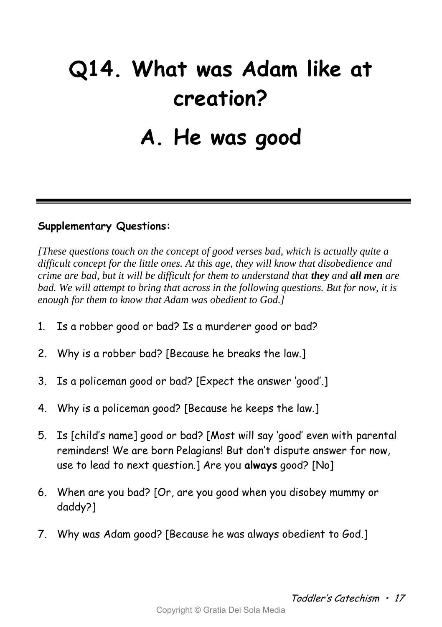# **Q14. What was Adam like at creation? A. He was good**

### **Supplementary Questions:**

*[These questions touch on the concept of good verses bad, which is actually quite a difficult concept for the little ones. At this age, they will know that disobedience and crime are bad, but it will be difficult for them to understand that they and all men are bad. We will attempt to bring that across in the following questions. But for now, it is enough for them to know that Adam was obedient to God.]*

- 1. Is a robber good or bad? Is a murderer good or bad?
- 2. Why is a robber bad? [Because he breaks the law.]
- 3. Is a policeman good or bad? [Expect the answer 'good'.]
- 4. Why is a policeman good? [Because he keeps the law.]
- 5. Is [child's name] good or bad? [Most will say 'good' even with parental reminders! We are born Pelagians! But don't dispute answer for now, use to lead to next question.] Are you **always** good? [No]
- 6. When are you bad? [Or, are you good when you disobey mummy or daddy?]
- 7. Why was Adam good? [Because he was always obedient to God.]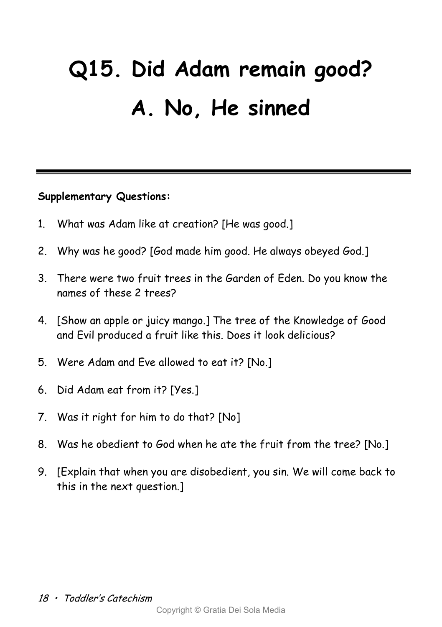# **Q15. Did Adam remain good? A. No, He sinned**

- 1. What was Adam like at creation? [He was good.]
- 2. Why was he good? [God made him good. He always obeyed God.]
- 3. There were two fruit trees in the Garden of Eden. Do you know the names of these 2 trees?
- 4. [Show an apple or juicy mango.] The tree of the Knowledge of Good and Evil produced a fruit like this. Does it look delicious?
- 5. Were Adam and Eve allowed to eat it? [No.]
- 6. Did Adam eat from it? [Yes.]
- 7. Was it right for him to do that? [No]
- 8. Was he obedient to God when he ate the fruit from the tree? [No.]
- 9. [Explain that when you are disobedient, you sin. We will come back to this in the next question.]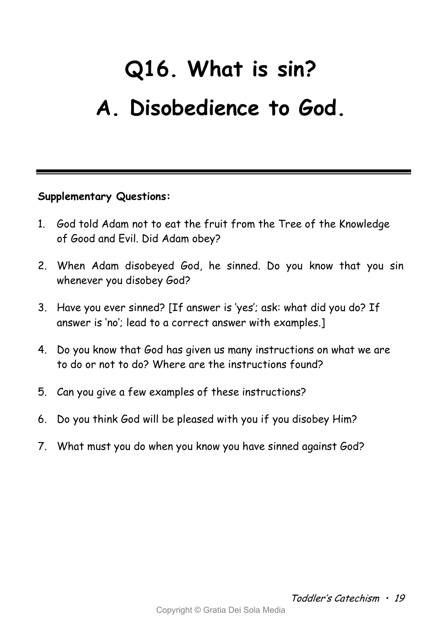# **Q16. What is sin? A. Disobedience to God.**

- 1. God told Adam not to eat the fruit from the Tree of the Knowledge of Good and Evil. Did Adam obey?
- 2. When Adam disobeyed God, he sinned. Do you know that you sin whenever you disobey God?
- 3. Have you ever sinned? [If answer is 'yes'; ask: what did you do? If answer is 'no'; lead to a correct answer with examples.]
- 4. Do you know that God has given us many instructions on what we are to do or not to do? Where are the instructions found?
- 5. Can you give a few examples of these instructions?
- 6. Do you think God will be pleased with you if you disobey Him?
- 7. What must you do when you know you have sinned against God?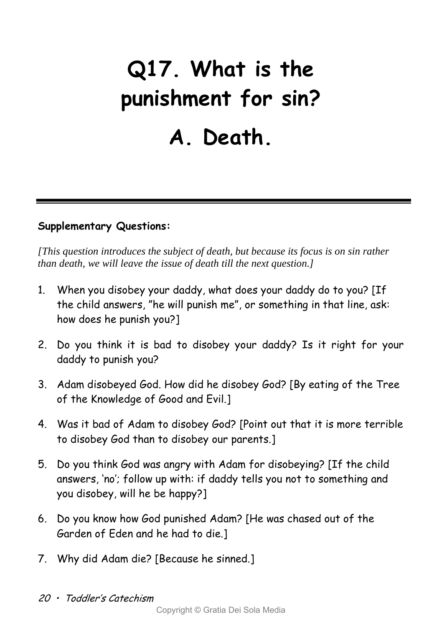# **Q17. What is the punishment for sin? A. Death.**

### **Supplementary Questions:**

*[This question introduces the subject of death, but because its focus is on sin rather than death, we will leave the issue of death till the next question.]*

- 1. When you disobey your daddy, what does your daddy do to you? [If the child answers, "he will punish me", or something in that line, ask: how does he punish you?]
- 2. Do you think it is bad to disobey your daddy? Is it right for your daddy to punish you?
- 3. Adam disobeyed God. How did he disobey God? [By eating of the Tree of the Knowledge of Good and Evil.]
- 4. Was it bad of Adam to disobey God? [Point out that it is more terrible to disobey God than to disobey our parents.]
- 5. Do you think God was angry with Adam for disobeying? [If the child answers, 'no'; follow up with: if daddy tells you not to something and you disobey, will he be happy?]
- 6. Do you know how God punished Adam? [He was chased out of the Garden of Eden and he had to die.]
- 7. Why did Adam die? [Because he sinned.]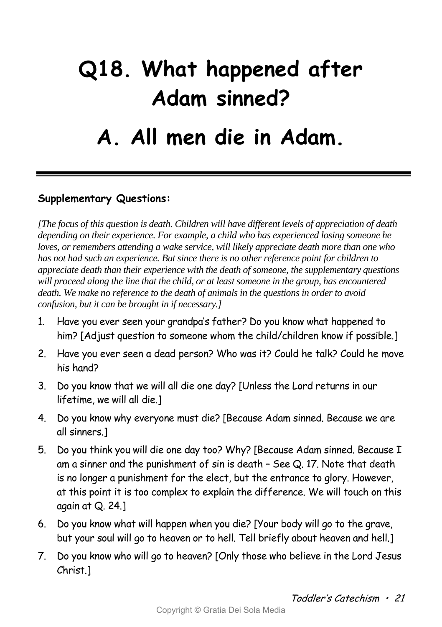## **Q18. What happened after Adam sinned? A. All men die in Adam.**

### **Supplementary Questions:**

*[The focus of this question is death. Children will have different levels of appreciation of death depending on their experience. For example, a child who has experienced losing someone he loves, or remembers attending a wake service, will likely appreciate death more than one who has not had such an experience. But since there is no other reference point for children to appreciate death than their experience with the death of someone, the supplementary questions will proceed along the line that the child, or at least someone in the group, has encountered death. We make no reference to the death of animals in the questions in order to avoid confusion, but it can be brought in if necessary.]*

- 1. Have you ever seen your grandpa's father? Do you know what happened to him? [Adjust question to someone whom the child/children know if possible.]
- 2. Have you ever seen a dead person? Who was it? Could he talk? Could he move his hand?
- 3. Do you know that we will all die one day? [Unless the Lord returns in our lifetime, we will all die.]
- 4. Do you know why everyone must die? [Because Adam sinned. Because we are all sinners.]
- 5. Do you think you will die one day too? Why? [Because Adam sinned. Because I am a sinner and the punishment of sin is death – See Q. 17. Note that death is no longer a punishment for the elect, but the entrance to glory. However, at this point it is too complex to explain the difference. We will touch on this again at Q. 24.]
- 6. Do you know what will happen when you die? [Your body will go to the grave, but your soul will go to heaven or to hell. Tell briefly about heaven and hell.]
- 7. Do you know who will go to heaven? [Only those who believe in the Lord Jesus Christ.]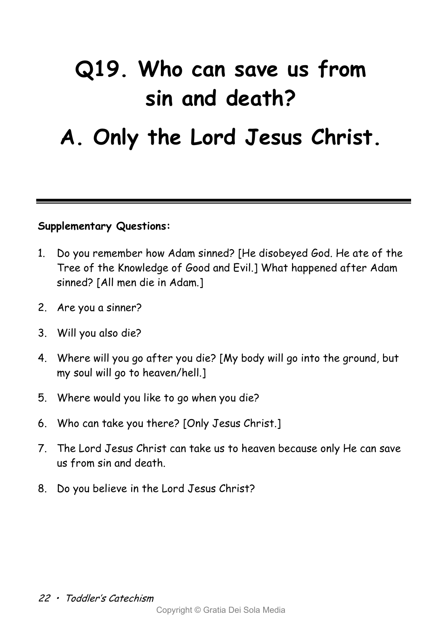## **Q19. Who can save us from sin and death?**

### **A. Only the Lord Jesus Christ.**

- 1. Do you remember how Adam sinned? [He disobeyed God. He ate of the Tree of the Knowledge of Good and Evil.] What happened after Adam sinned? [All men die in Adam.]
- 2. Are you a sinner?
- 3. Will you also die?
- 4. Where will you go after you die? [My body will go into the ground, but my soul will go to heaven/hell.]
- 5. Where would you like to go when you die?
- 6. Who can take you there? [Only Jesus Christ.]
- 7. The Lord Jesus Christ can take us to heaven because only He can save us from sin and death.
- 8. Do you believe in the Lord Jesus Christ?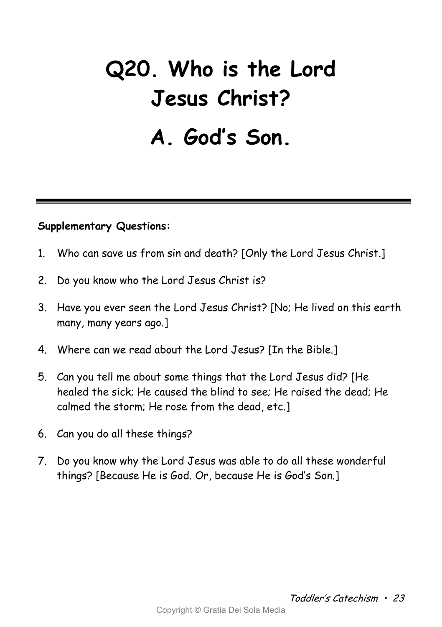## **Q20. Who is the Lord Jesus Christ? A. God's Son.**

- 1. Who can save us from sin and death? [Only the Lord Jesus Christ.]
- 2. Do you know who the Lord Jesus Christ is?
- 3. Have you ever seen the Lord Jesus Christ? [No; He lived on this earth many, many years ago.]
- 4. Where can we read about the Lord Jesus? [In the Bible.]
- 5. Can you tell me about some things that the Lord Jesus did? [He healed the sick; He caused the blind to see; He raised the dead; He calmed the storm; He rose from the dead, etc.]
- 6. Can you do all these things?
- 7. Do you know why the Lord Jesus was able to do all these wonderful things? [Because He is God. Or, because He is God's Son.]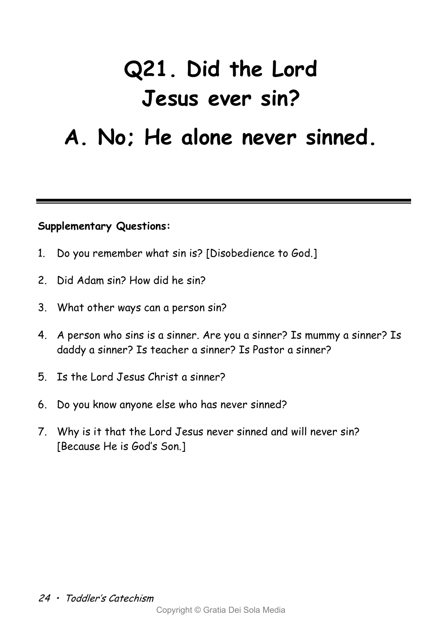# **Q21. Did the Lord Jesus ever sin?**

### **A. No; He alone never sinned.**

- 1. Do you remember what sin is? [Disobedience to God.]
- 2. Did Adam sin? How did he sin?
- 3. What other ways can a person sin?
- 4. A person who sins is a sinner. Are you a sinner? Is mummy a sinner? Is daddy a sinner? Is teacher a sinner? Is Pastor a sinner?
- 5. Is the Lord Jesus Christ a sinner?
- 6. Do you know anyone else who has never sinned?
- 7. Why is it that the Lord Jesus never sinned and will never sin? [Because He is God's Son.]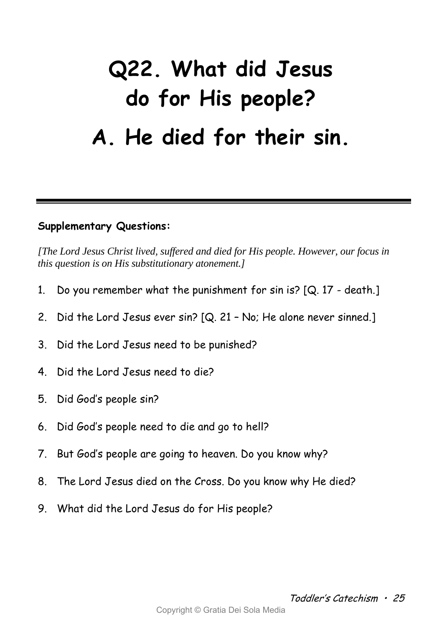## **Q22. What did Jesus do for His people? A. He died for their sin.**

### **Supplementary Questions:**

*[The Lord Jesus Christ lived, suffered and died for His people. However, our focus in this question is on His substitutionary atonement.]*

- 1. Do you remember what the punishment for sin is?  $[Q. 17 death.]$
- 2. Did the Lord Jesus ever sin? [Q. 21 No; He alone never sinned.]
- 3. Did the Lord Jesus need to be punished?
- 4. Did the Lord Jesus need to die?
- 5. Did God's people sin?
- 6. Did God's people need to die and go to hell?
- 7. But God's people are going to heaven. Do you know why?
- 8. The Lord Jesus died on the Cross. Do you know why He died?
- 9. What did the Lord Jesus do for His people?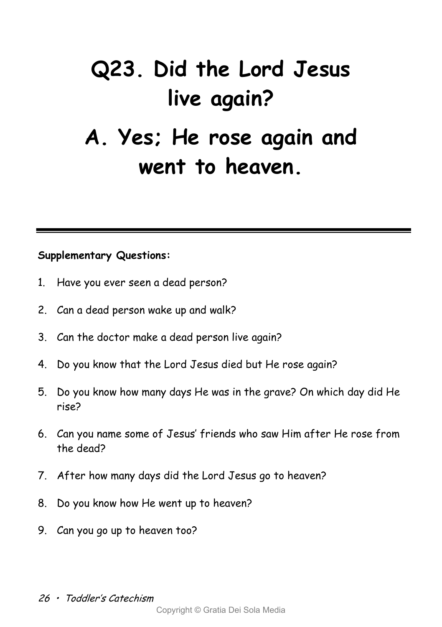# **Q23. Did the Lord Jesus live again? A. Yes; He rose again and**

### **went to heaven.**

- 1. Have you ever seen a dead person?
- 2. Can a dead person wake up and walk?
- 3. Can the doctor make a dead person live again?
- 4. Do you know that the Lord Jesus died but He rose again?
- 5. Do you know how many days He was in the grave? On which day did He rise?
- 6. Can you name some of Jesus' friends who saw Him after He rose from the dead?
- 7. After how many days did the Lord Jesus go to heaven?
- 8. Do you know how He went up to heaven?
- 9. Can you go up to heaven too?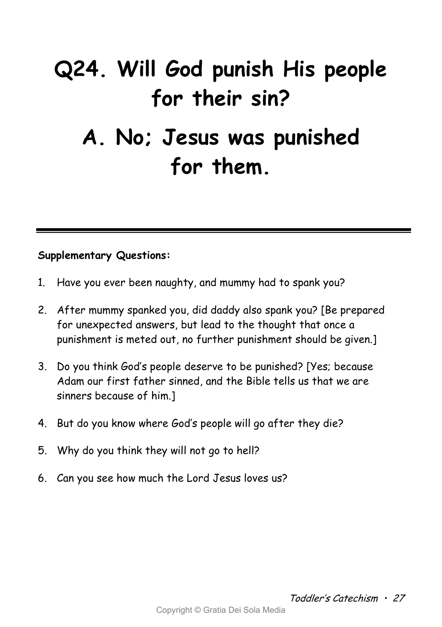## **Q24. Will God punish His people for their sin? A. No; Jesus was punished for them.**

- 1. Have you ever been naughty, and mummy had to spank you?
- 2. After mummy spanked you, did daddy also spank you? [Be prepared for unexpected answers, but lead to the thought that once a punishment is meted out, no further punishment should be given.]
- 3. Do you think God's people deserve to be punished? [Yes; because Adam our first father sinned, and the Bible tells us that we are sinners because of him.]
- 4. But do you know where God's people will go after they die?
- 5. Why do you think they will not go to hell?
- 6. Can you see how much the Lord Jesus loves us?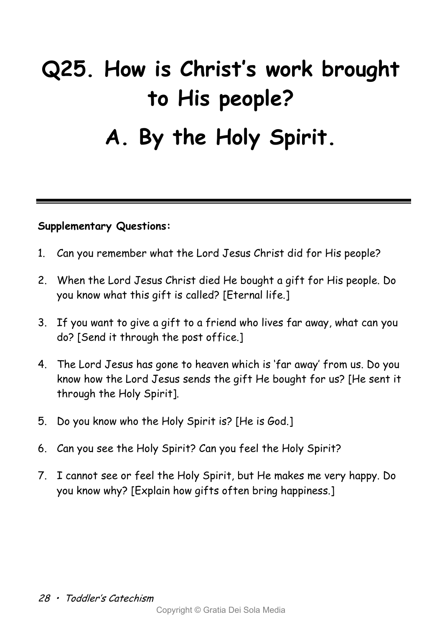# **Q25. How is Christ's work brought to His people? A. By the Holy Spirit.**

- 1. Can you remember what the Lord Jesus Christ did for His people?
- 2. When the Lord Jesus Christ died He bought a gift for His people. Do you know what this gift is called? [Eternal life.]
- 3. If you want to give a gift to a friend who lives far away, what can you do? [Send it through the post office.]
- 4. The Lord Jesus has gone to heaven which is 'far away' from us. Do you know how the Lord Jesus sends the gift He bought for us? [He sent it through the Holy Spirit].
- 5. Do you know who the Holy Spirit is? [He is God.]
- 6. Can you see the Holy Spirit? Can you feel the Holy Spirit?
- 7. I cannot see or feel the Holy Spirit, but He makes me very happy. Do you know why? [Explain how gifts often bring happiness.]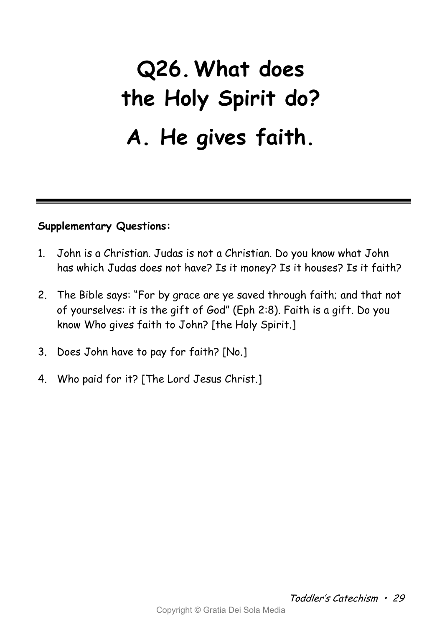## **Q26.What does the Holy Spirit do? A. He gives faith.**

- 1. John is a Christian. Judas is not a Christian. Do you know what John has which Judas does not have? Is it money? Is it houses? Is it faith?
- 2. The Bible says: "For by grace are ye saved through faith; and that not of yourselves: it is the gift of God" (Eph 2:8). Faith is a gift. Do you know Who gives faith to John? [the Holy Spirit.]
- 3. Does John have to pay for faith? [No.]
- 4. Who paid for it? [The Lord Jesus Christ.]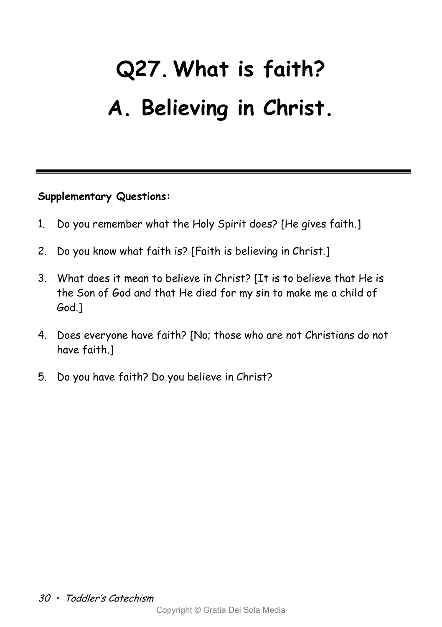# **Q27.What is faith? A. Believing in Christ.**

- 1. Do you remember what the Holy Spirit does? [He gives faith.]
- 2. Do you know what faith is? [Faith is believing in Christ.]
- 3. What does it mean to believe in Christ? [It is to believe that He is the Son of God and that He died for my sin to make me a child of God.]
- 4. Does everyone have faith? [No; those who are not Christians do not have faith.]
- 5. Do you have faith? Do you believe in Christ?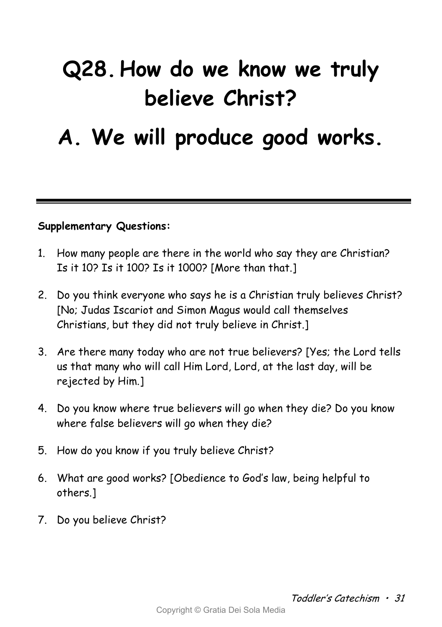## **Q28. How do we know we truly believe Christ?**

### **A. We will produce good works.**

- 1. How many people are there in the world who say they are Christian? Is it 10? Is it 100? Is it 1000? [More than that.]
- 2. Do you think everyone who says he is a Christian truly believes Christ? [No; Judas Iscariot and Simon Magus would call themselves Christians, but they did not truly believe in Christ.]
- 3. Are there many today who are not true believers? [Yes; the Lord tells us that many who will call Him Lord, Lord, at the last day, will be rejected by Him.]
- 4. Do you know where true believers will go when they die? Do you know where false believers will go when they die?
- 5. How do you know if you truly believe Christ?
- 6. What are good works? [Obedience to God's law, being helpful to others.]
- 7. Do you believe Christ?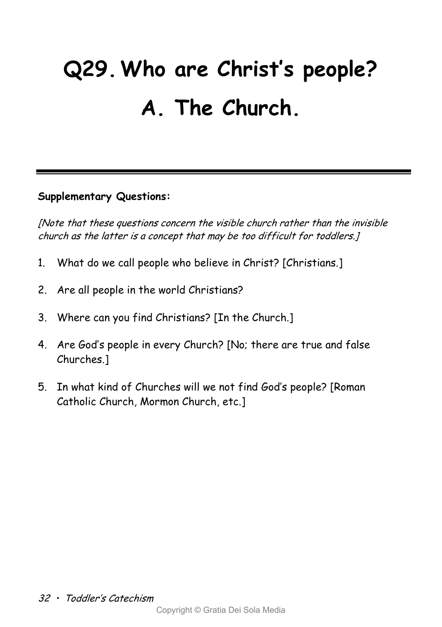# **Q29.Who are Christ's people? A. The Church.**

### **Supplementary Questions:**

[Note that these questions concern the visible church rather than the invisible church as the latter is a concept that may be too difficult for toddlers.]

- 1. What do we call people who believe in Christ? [Christians.]
- 2. Are all people in the world Christians?
- 3. Where can you find Christians? [In the Church.]
- 4. Are God's people in every Church? [No; there are true and false Churches.]
- 5. In what kind of Churches will we not find God's people? [Roman Catholic Church, Mormon Church, etc.]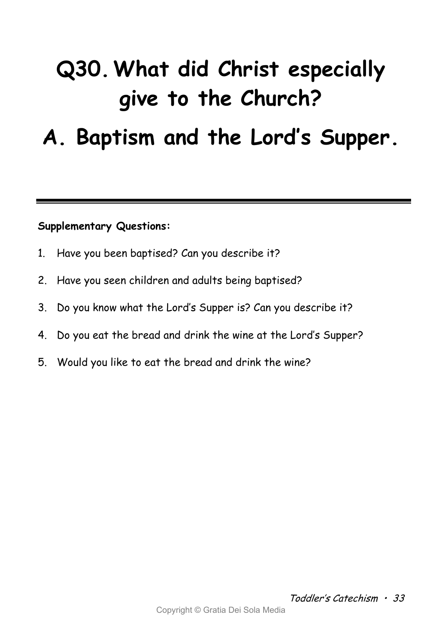## **Q30.What did Christ especially give to the Church?**

### **A. Baptism and the Lord's Supper.**

- 1. Have you been baptised? Can you describe it?
- 2. Have you seen children and adults being baptised?
- 3. Do you know what the Lord's Supper is? Can you describe it?
- 4. Do you eat the bread and drink the wine at the Lord's Supper?
- 5. Would you like to eat the bread and drink the wine?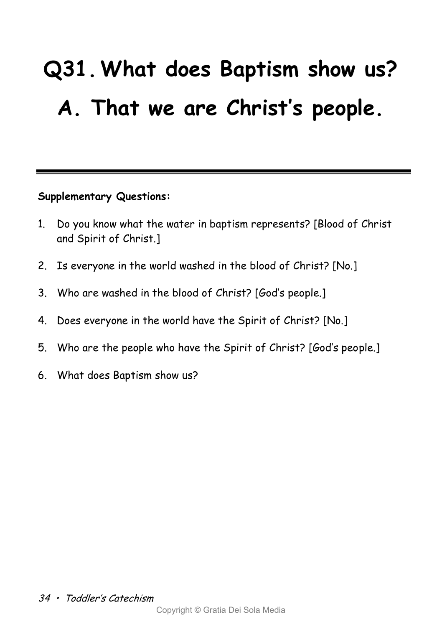# **Q31.What does Baptism show us? A. That we are Christ's people.**

- 1. Do you know what the water in baptism represents? [Blood of Christ and Spirit of Christ.]
- 2. Is everyone in the world washed in the blood of Christ? [No.]
- 3. Who are washed in the blood of Christ? [God's people.]
- 4. Does everyone in the world have the Spirit of Christ? [No.]
- 5. Who are the people who have the Spirit of Christ? [God's people.]
- 6. What does Baptism show us?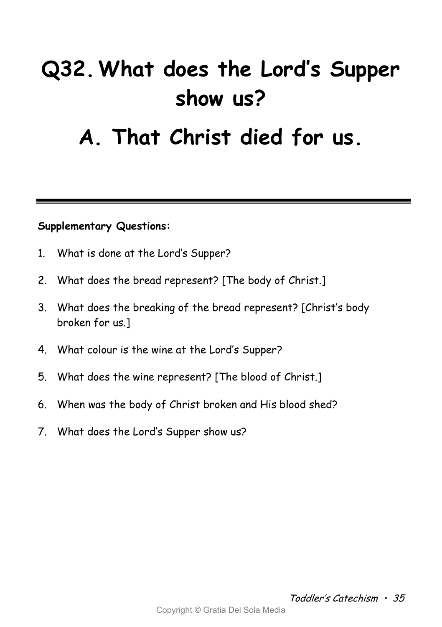## **Q32.What does the Lord's Supper show us?**

### **A. That Christ died for us.**

- 1. What is done at the Lord's Supper?
- 2. What does the bread represent? [The body of Christ.]
- 3. What does the breaking of the bread represent? [Christ's body broken for us.]
- 4. What colour is the wine at the Lord's Supper?
- 5. What does the wine represent? [The blood of Christ.]
- 6. When was the body of Christ broken and His blood shed?
- 7. What does the Lord's Supper show us?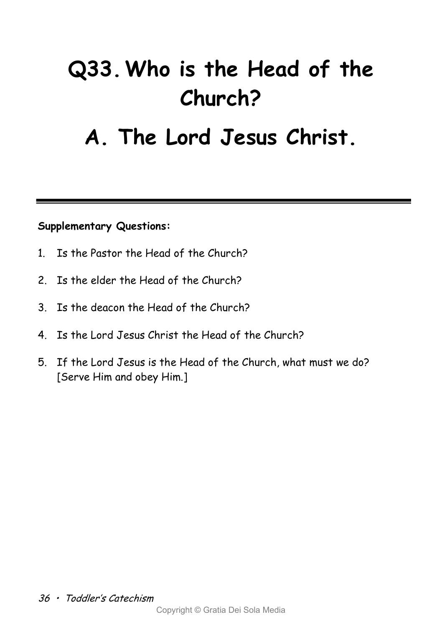## **Q33.Who is the Head of the Church?**

### **A. The Lord Jesus Christ.**

- 1. Is the Pastor the Head of the Church?
- 2. Is the elder the Head of the Church?
- 3. Is the deacon the Head of the Church?
- 4. Is the Lord Jesus Christ the Head of the Church?
- 5. If the Lord Jesus is the Head of the Church, what must we do? [Serve Him and obey Him.]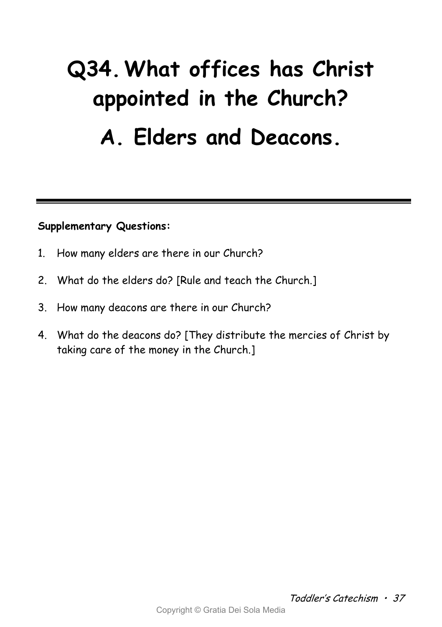# **Q34.What offices has Christ appointed in the Church? A. Elders and Deacons.**

- 1. How many elders are there in our Church?
- 2. What do the elders do? [Rule and teach the Church.]
- 3. How many deacons are there in our Church?
- 4. What do the deacons do? [They distribute the mercies of Christ by taking care of the money in the Church.]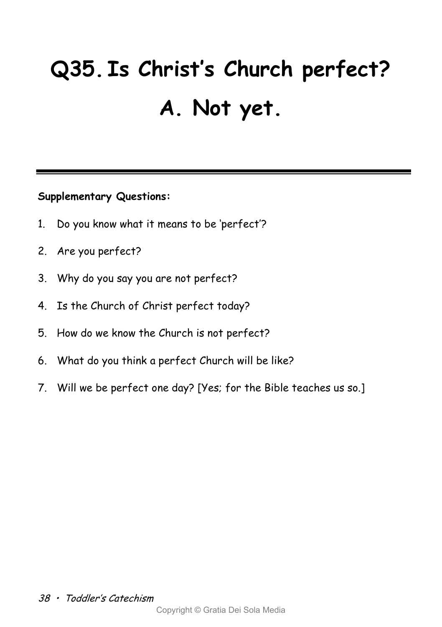# **Q35. Is Christ's Church perfect? A. Not yet.**

- 1. Do you know what it means to be 'perfect'?
- 2. Are you perfect?
- 3. Why do you say you are not perfect?
- 4. Is the Church of Christ perfect today?
- 5. How do we know the Church is not perfect?
- 6. What do you think a perfect Church will be like?
- 7. Will we be perfect one day? [Yes; for the Bible teaches us so.]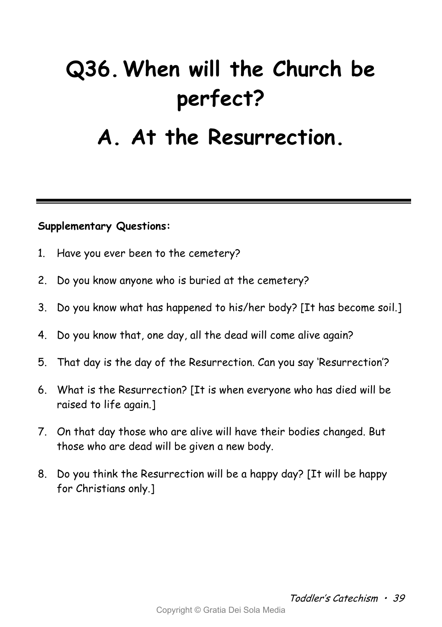# **Q36.When will the Church be perfect?**

### **A. At the Resurrection.**

- 1. Have you ever been to the cemetery?
- 2. Do you know anyone who is buried at the cemetery?
- 3. Do you know what has happened to his/her body? [It has become soil.]
- 4. Do you know that, one day, all the dead will come alive again?
- 5. That day is the day of the Resurrection. Can you say 'Resurrection'?
- 6. What is the Resurrection? [It is when everyone who has died will be raised to life again.]
- 7. On that day those who are alive will have their bodies changed. But those who are dead will be given a new body.
- 8. Do you think the Resurrection will be a happy day? [It will be happy for Christians only.]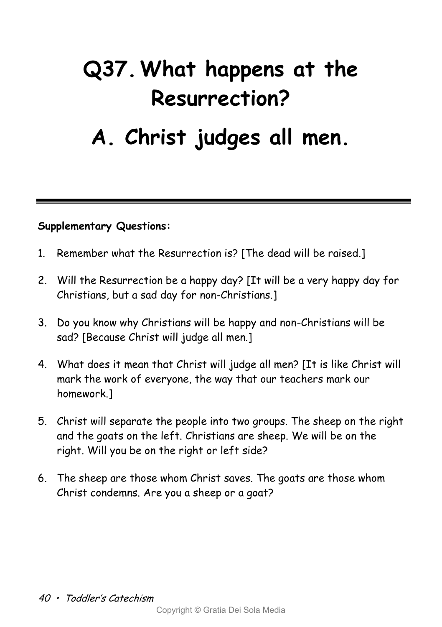## **Q37.What happens at the Resurrection?**

### **A. Christ judges all men.**

- 1. Remember what the Resurrection is? [The dead will be raised.]
- 2. Will the Resurrection be a happy day? [It will be a very happy day for Christians, but a sad day for non-Christians.]
- 3. Do you know why Christians will be happy and non-Christians will be sad? [Because Christ will judge all men.]
- 4. What does it mean that Christ will judge all men? [It is like Christ will mark the work of everyone, the way that our teachers mark our homework 1
- 5. Christ will separate the people into two groups. The sheep on the right and the goats on the left. Christians are sheep. We will be on the right. Will you be on the right or left side?
- 6. The sheep are those whom Christ saves. The goats are those whom Christ condemns. Are you a sheep or a goat?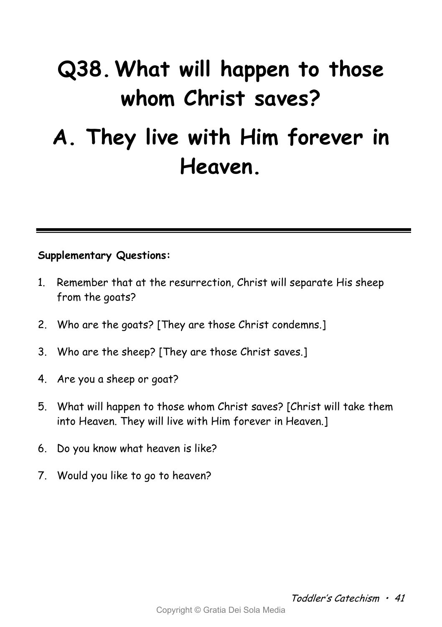## **Q38.What will happen to those whom Christ saves? A. They live with Him forever in Heaven.**

- 1. Remember that at the resurrection, Christ will separate His sheep from the goats?
- 2. Who are the goats? [They are those Christ condemns.]
- 3. Who are the sheep? [They are those Christ saves.]
- 4. Are you a sheep or goat?
- 5. What will happen to those whom Christ saves? [Christ will take them into Heaven. They will live with Him forever in Heaven.]
- 6. Do you know what heaven is like?
- 7. Would you like to go to heaven?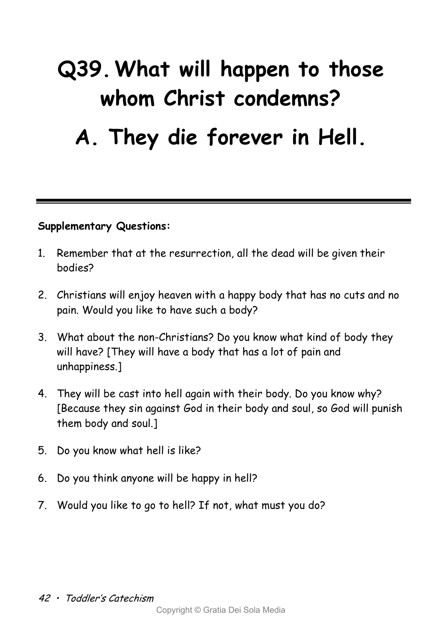# **Q39.What will happen to those whom Christ condemns?**

### **A. They die forever in Hell.**

- 1. Remember that at the resurrection, all the dead will be given their bodies?
- 2. Christians will enjoy heaven with a happy body that has no cuts and no pain. Would you like to have such a body?
- 3. What about the non-Christians? Do you know what kind of body they will have? [They will have a body that has a lot of pain and unhappiness.]
- 4. They will be cast into hell again with their body. Do you know why? [Because they sin against God in their body and soul, so God will punish them body and soul.]
- 5. Do you know what hell is like?
- 6. Do you think anyone will be happy in hell?
- 7. Would you like to go to hell? If not, what must you do?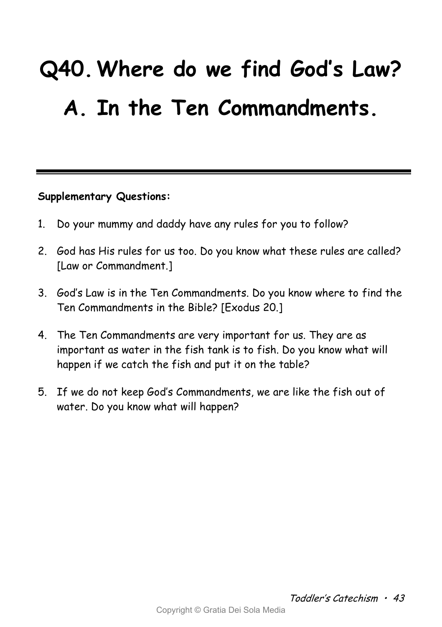# **Q40.Where do we find God's Law? A. In the Ten Commandments.**

- 1. Do your mummy and daddy have any rules for you to follow?
- 2. God has His rules for us too. Do you know what these rules are called? [Law or Commandment.]
- 3. God's Law is in the Ten Commandments. Do you know where to find the Ten Commandments in the Bible? [Exodus 20.]
- 4. The Ten Commandments are very important for us. They are as important as water in the fish tank is to fish. Do you know what will happen if we catch the fish and put it on the table?
- 5. If we do not keep God's Commandments, we are like the fish out of water. Do you know what will happen?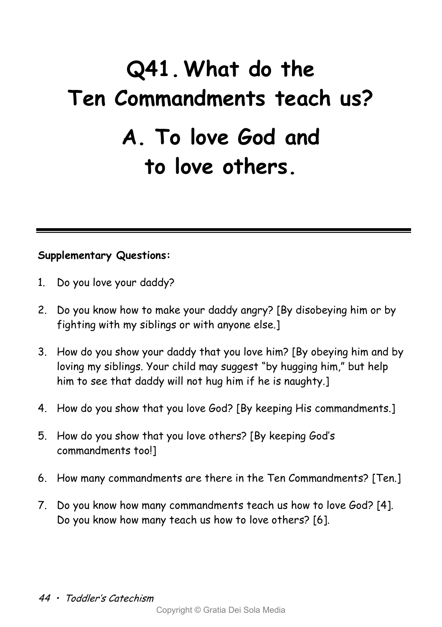## **Q41.What do the Ten Commandments teach us? A. To love God and to love others.**

- 1. Do you love your daddy?
- 2. Do you know how to make your daddy angry? [By disobeying him or by fighting with my siblings or with anyone else.]
- 3. How do you show your daddy that you love him? [By obeying him and by loving my siblings. Your child may suggest "by hugging him," but help him to see that daddy will not hug him if he is naughty.]
- 4. How do you show that you love God? [By keeping His commandments.]
- 5. How do you show that you love others? [By keeping God's commandments too!]
- 6. How many commandments are there in the Ten Commandments? [Ten.]
- 7. Do you know how many commandments teach us how to love God? [4]. Do you know how many teach us how to love others? [6].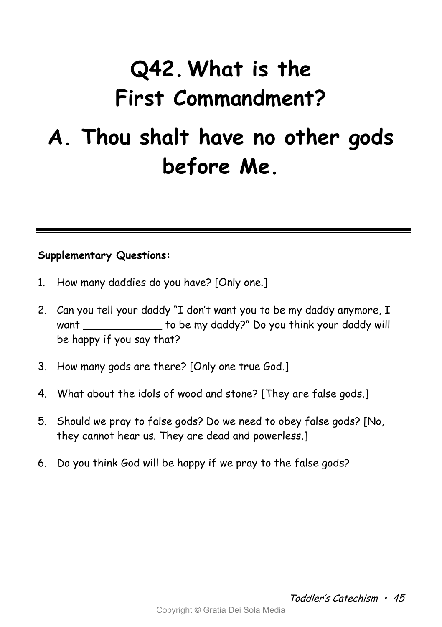# **Q42.What is the First Commandment?**

### **A. Thou shalt have no other gods before Me.**

- 1. How many daddies do you have? [Only one.]
- 2. Can you tell your daddy "I don't want you to be my daddy anymore, I want \_\_\_\_\_\_\_\_\_\_\_\_\_\_ to be my daddy?" Do you think your daddy will be happy if you say that?
- 3. How many gods are there? [Only one true God.]
- 4. What about the idols of wood and stone? [They are false gods.]
- 5. Should we pray to false gods? Do we need to obey false gods? [No, they cannot hear us. They are dead and powerless.]
- 6. Do you think God will be happy if we pray to the false gods?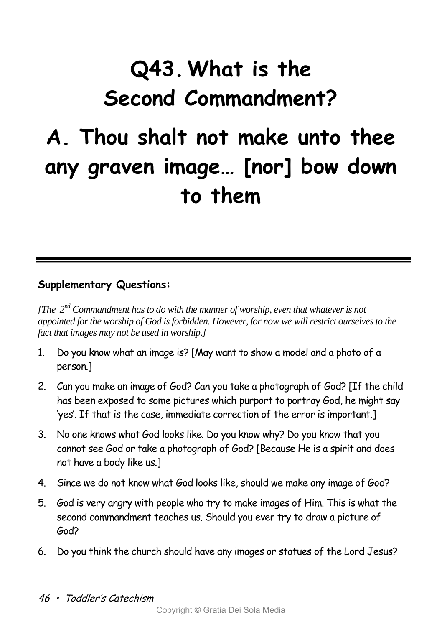# **Q43.What is the Second Commandment?**

### **A. Thou shalt not make unto thee any graven image… [nor] bow down to them**

### **Supplementary Questions:**

*[The 2nd Commandment has to do with the manner of worship, even that whatever is not appointed for the worship of God is forbidden. However, for now we will restrict ourselves to the fact that images may not be used in worship.]*

- 1. Do you know what an image is? [May want to show a model and a photo of a person.]
- 2. Can you make an image of God? Can you take a photograph of God? [If the child has been exposed to some pictures which purport to portray God, he might say 'yes'. If that is the case, immediate correction of the error is important.]
- 3. No one knows what God looks like. Do you know why? Do you know that you cannot see God or take a photograph of God? [Because He is a spirit and does not have a body like us.]
- 4. Since we do not know what God looks like, should we make any image of God?
- 5. God is very angry with people who try to make images of Him. This is what the second commandment teaches us. Should you ever try to draw a picture of God?
- 6. Do you think the church should have any images or statues of the Lord Jesus?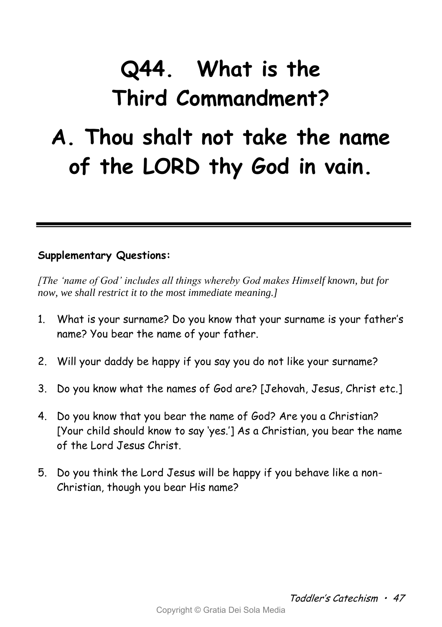## **Q44. What is the Third Commandment?**

### **A. Thou shalt not take the name of the LORD thy God in vain.**

### **Supplementary Questions:**

*[The 'name of God' includes all things whereby God makes Himself known, but for now, we shall restrict it to the most immediate meaning.]*

- 1. What is your surname? Do you know that your surname is your father's name? You bear the name of your father.
- 2. Will your daddy be happy if you say you do not like your surname?
- 3. Do you know what the names of God are? [Jehovah, Jesus, Christ etc.]
- 4. Do you know that you bear the name of God? Are you a Christian? [Your child should know to say 'yes.'] As a Christian, you bear the name of the Lord Jesus Christ.
- 5. Do you think the Lord Jesus will be happy if you behave like a non-Christian, though you bear His name?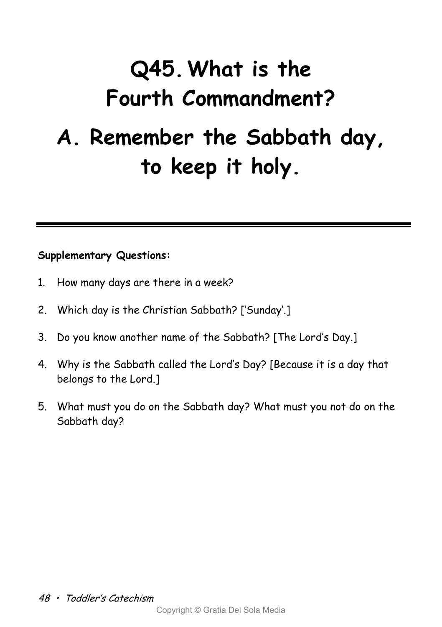## **Q45.What is the Fourth Commandment? A. Remember the Sabbath day, to keep it holy.**

- 1. How many days are there in a week?
- 2. Which day is the Christian Sabbath? ['Sunday'.]
- 3. Do you know another name of the Sabbath? [The Lord's Day.]
- 4. Why is the Sabbath called the Lord's Day? [Because it is a day that belongs to the Lord.]
- 5. What must you do on the Sabbath day? What must you not do on the Sabbath day?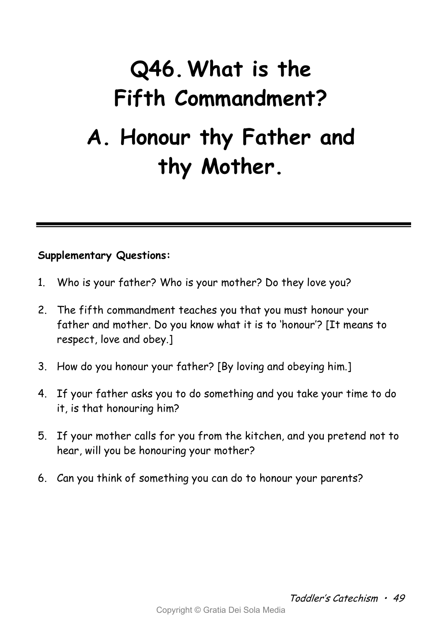## **Q46.What is the Fifth Commandment? A. Honour thy Father and thy Mother.**

- 1. Who is your father? Who is your mother? Do they love you?
- 2. The fifth commandment teaches you that you must honour your father and mother. Do you know what it is to 'honour'? [It means to respect, love and obey.]
- 3. How do you honour your father? [By loving and obeying him.]
- 4. If your father asks you to do something and you take your time to do it, is that honouring him?
- 5. If your mother calls for you from the kitchen, and you pretend not to hear, will you be honouring your mother?
- 6. Can you think of something you can do to honour your parents?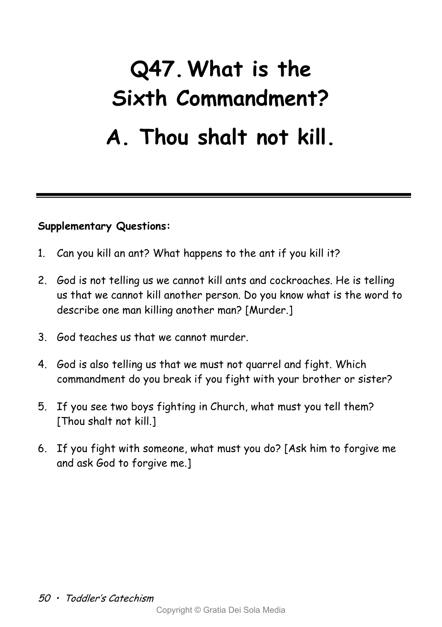## **Q47.What is the Sixth Commandment? A. Thou shalt not kill.**

- 1. Can you kill an ant? What happens to the ant if you kill it?
- 2. God is not telling us we cannot kill ants and cockroaches. He is telling us that we cannot kill another person. Do you know what is the word to describe one man killing another man? [Murder.]
- 3. God teaches us that we cannot murder.
- 4. God is also telling us that we must not quarrel and fight. Which commandment do you break if you fight with your brother or sister?
- 5. If you see two boys fighting in Church, what must you tell them? [Thou shalt not kill.]
- 6. If you fight with someone, what must you do? [Ask him to forgive me and ask God to forgive me.]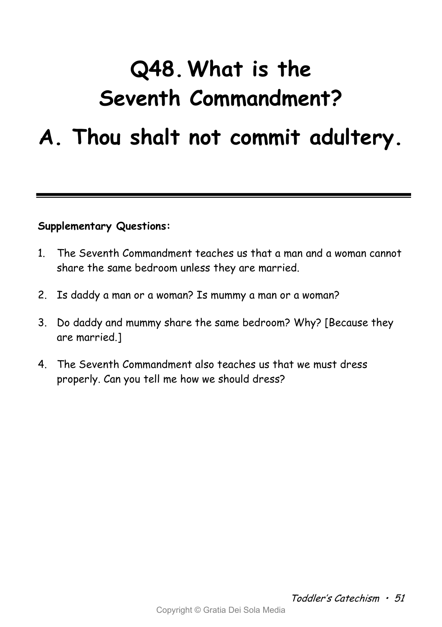### **Q48.What is the Seventh Commandment?**

### **A. Thou shalt not commit adultery.**

- 1. The Seventh Commandment teaches us that a man and a woman cannot share the same bedroom unless they are married.
- 2. Is daddy a man or a woman? Is mummy a man or a woman?
- 3. Do daddy and mummy share the same bedroom? Why? [Because they are married.]
- 4. The Seventh Commandment also teaches us that we must dress properly. Can you tell me how we should dress?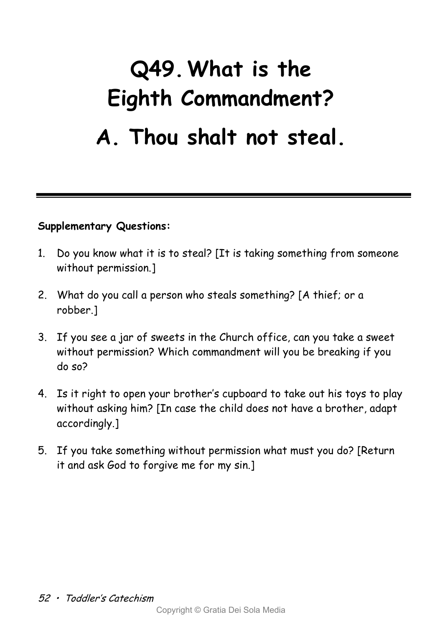## **Q49.What is the Eighth Commandment? A. Thou shalt not steal.**

- 1. Do you know what it is to steal? [It is taking something from someone without permission.]
- 2. What do you call a person who steals something? [A thief; or a robber.]
- 3. If you see a jar of sweets in the Church office, can you take a sweet without permission? Which commandment will you be breaking if you do so?
- 4. Is it right to open your brother's cupboard to take out his toys to play without asking him? [In case the child does not have a brother, adapt accordingly.]
- 5. If you take something without permission what must you do? [Return it and ask God to forgive me for my sin.]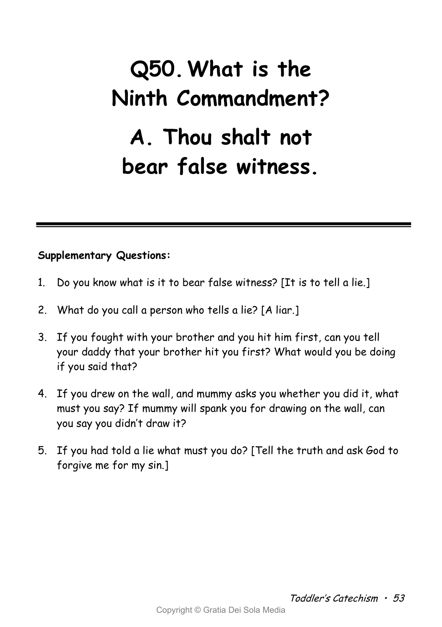## **Q50.What is the Ninth Commandment? A. Thou shalt not bear false witness.**

- 1. Do you know what is it to bear false witness? [It is to tell a lie.]
- 2. What do you call a person who tells a lie? [A liar.]
- 3. If you fought with your brother and you hit him first, can you tell your daddy that your brother hit you first? What would you be doing if you said that?
- 4. If you drew on the wall, and mummy asks you whether you did it, what must you say? If mummy will spank you for drawing on the wall, can you say you didn't draw it?
- 5. If you had told a lie what must you do? [Tell the truth and ask God to forgive me for my sin.]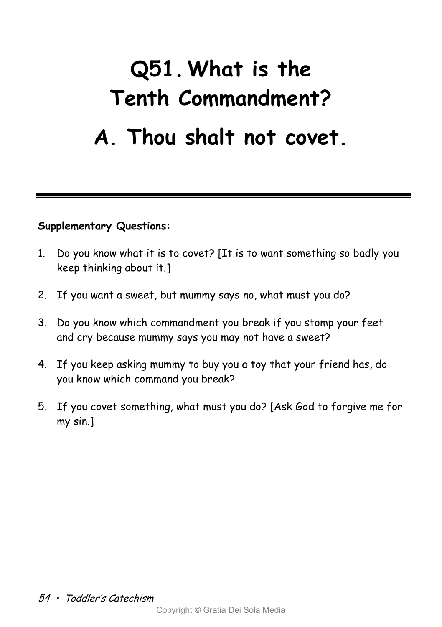## **Q51.What is the Tenth Commandment? A. Thou shalt not covet.**

- 1. Do you know what it is to covet? [It is to want something so badly you keep thinking about it.]
- 2. If you want a sweet, but mummy says no, what must you do?
- 3. Do you know which commandment you break if you stomp your feet and cry because mummy says you may not have a sweet?
- 4. If you keep asking mummy to buy you a toy that your friend has, do you know which command you break?
- 5. If you covet something, what must you do? [Ask God to forgive me for my sin.]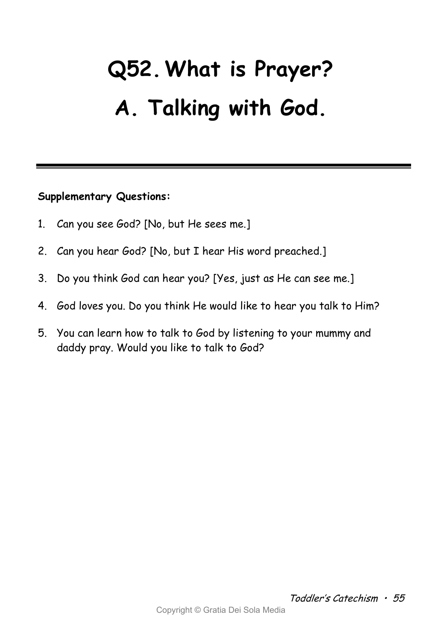# **Q52.What is Prayer? A. Talking with God.**

- 1. Can you see God? [No, but He sees me.]
- 2. Can you hear God? [No, but I hear His word preached.]
- 3. Do you think God can hear you? [Yes, just as He can see me.]
- 4. God loves you. Do you think He would like to hear you talk to Him?
- 5. You can learn how to talk to God by listening to your mummy and daddy pray. Would you like to talk to God?